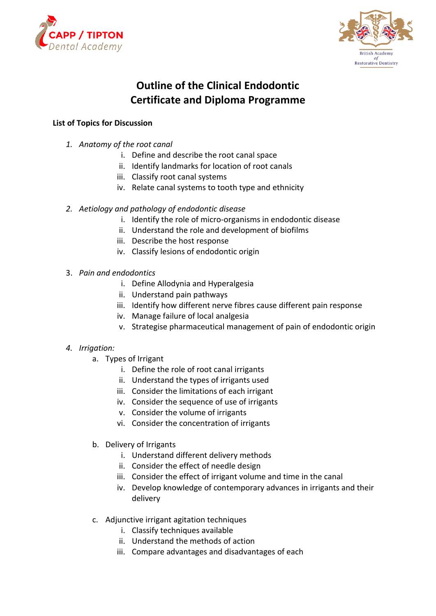



# **Outline of the Clinical Endodontic Certificate and Diploma Programme**

### **List of Topics for Discussion**

- *1. Anatomy of the root canal*
	- i. Define and describe the root canal space
	- ii. Identify landmarks for location of root canals
	- iii. Classify root canal systems
	- iv. Relate canal systems to tooth type and ethnicity
- *2. Aetiology and pathology of endodontic disease*
	- i. Identify the role of micro-organisms in endodontic disease
	- ii. Understand the role and development of biofilms
	- iii. Describe the host response
	- iv. Classify lesions of endodontic origin
- 3. *Pain and endodontics*
	- i. Define Allodynia and Hyperalgesia
	- ii. Understand pain pathways
	- iii. Identify how different nerve fibres cause different pain response
	- iv. Manage failure of local analgesia
	- v. Strategise pharmaceutical management of pain of endodontic origin

#### *4. Irrigation:*

- a. Types of Irrigant
	- i. Define the role of root canal irrigants
	- ii. Understand the types of irrigants used
	- iii. Consider the limitations of each irrigant
	- iv. Consider the sequence of use of irrigants
	- v. Consider the volume of irrigants
	- vi. Consider the concentration of irrigants
- b. Delivery of Irrigants
	- i. Understand different delivery methods
	- ii. Consider the effect of needle design
	- iii. Consider the effect of irrigant volume and time in the canal
	- iv. Develop knowledge of contemporary advances in irrigants and their delivery
- c. Adjunctive irrigant agitation techniques
	- i. Classify techniques available
	- ii. Understand the methods of action
	- iii. Compare advantages and disadvantages of each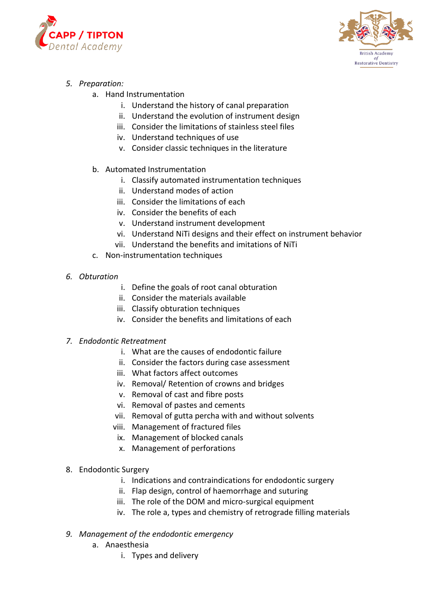



## *5. Preparation:*

- a. Hand Instrumentation
	- i. Understand the history of canal preparation
	- ii. Understand the evolution of instrument design
	- iii. Consider the limitations of stainless steel files
	- iv. Understand techniques of use
	- v. Consider classic techniques in the literature
- b. Automated Instrumentation
	- i. Classify automated instrumentation techniques
	- ii. Understand modes of action
	- iii. Consider the limitations of each
	- iv. Consider the benefits of each
	- v. Understand instrument development
	- vi. Understand NiTi designs and their effect on instrument behavior
	- vii. Understand the benefits and imitations of NiTi
- c. Non-instrumentation techniques
- *6. Obturation* 
	- i. Define the goals of root canal obturation
	- ii. Consider the materials available
	- iii. Classify obturation techniques
	- iv. Consider the benefits and limitations of each
- *7. Endodontic Retreatment*
	- i. What are the causes of endodontic failure
	- ii. Consider the factors during case assessment
	- iii. What factors affect outcomes
	- iv. Removal/ Retention of crowns and bridges
	- v. Removal of cast and fibre posts
	- vi. Removal of pastes and cements
	- vii. Removal of gutta percha with and without solvents
	- viii. Management of fractured files
	- ix. Management of blocked canals
	- x. Management of perforations
- 8. Endodontic Surgery
	- i. Indications and contraindications for endodontic surgery
	- ii. Flap design, control of haemorrhage and suturing
	- iii. The role of the DOM and micro-surgical equipment
	- iv. The role a, types and chemistry of retrograde filling materials
- *9. Management of the endodontic emergency*
	- a. Anaesthesia
		- i. Types and delivery